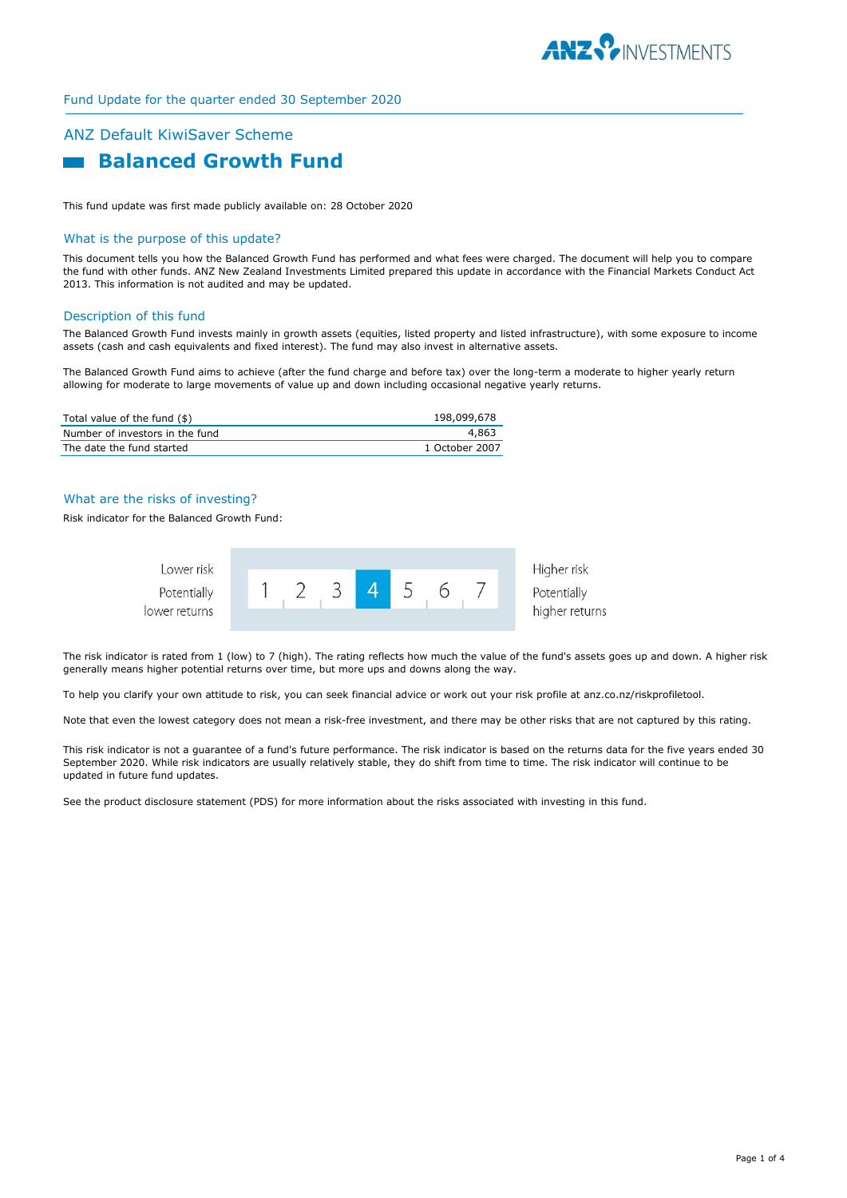

## Fund Update for the quarter ended 30 September 2020

# ANZ Default KiwiSaver Scheme



This fund update was first made publicly available on: 28 October 2020

#### What is the purpose of this update?

This document tells you how the Balanced Growth Fund has performed and what fees were charged. The document will help you to compare the fund with other funds. ANZ New Zealand Investments Limited prepared this update in accordance with the Financial Markets Conduct Act 2013. This information is not audited and may be updated.

### Description of this fund

The Balanced Growth Fund invests mainly in growth assets (equities, listed property and listed infrastructure), with some exposure to income assets (cash and cash equivalents and fixed interest). The fund may also invest in alternative assets.

The Balanced Growth Fund aims to achieve (after the fund charge and before tax) over the long-term a moderate to higher yearly return allowing for moderate to large movements of value up and down including occasional negative yearly returns.

| Total value of the fund (\$)    | 198,099,678    |
|---------------------------------|----------------|
| Number of investors in the fund | 4.863          |
| The date the fund started       | 1 October 2007 |

# What are the risks of investing?

Risk indicator for the Balanced Growth Fund:



The risk indicator is rated from 1 (low) to 7 (high). The rating reflects how much the value of the fund's assets goes up and down. A higher risk generally means higher potential returns over time, but more ups and downs along the way.

To help you clarify your own attitude to risk, you can seek financial advice or work out your risk profile at anz.co.nz/riskprofiletool.

Note that even the lowest category does not mean a risk-free investment, and there may be other risks that are not captured by this rating.

This risk indicator is not a guarantee of a fund's future performance. The risk indicator is based on the returns data for the five years ended 30 September 2020. While risk indicators are usually relatively stable, they do shift from time to time. The risk indicator will continue to be updated in future fund updates.

See the product disclosure statement (PDS) for more information about the risks associated with investing in this fund.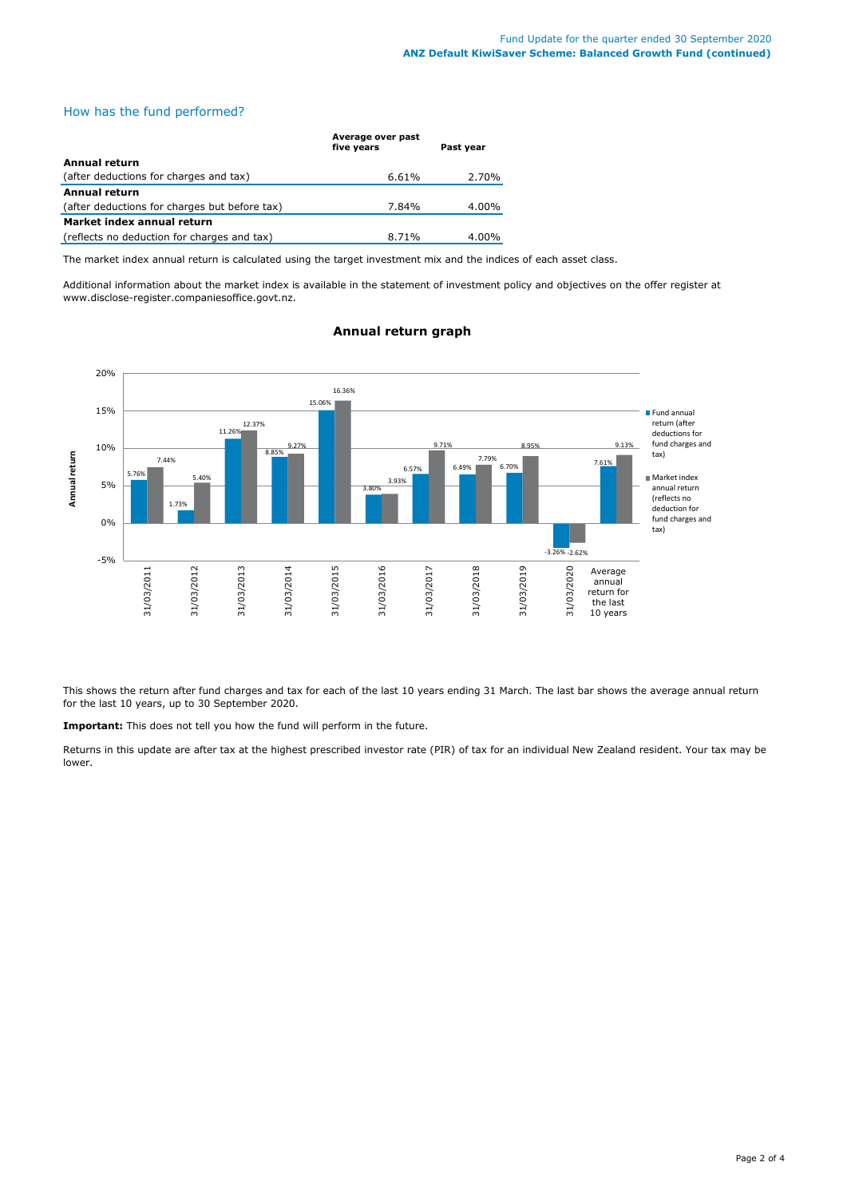# How has the fund performed?

|                                               | Average over past<br>five years | Past year |
|-----------------------------------------------|---------------------------------|-----------|
| Annual return                                 |                                 |           |
| (after deductions for charges and tax)        | 6.61%                           | 2.70%     |
| Annual return                                 |                                 |           |
| (after deductions for charges but before tax) | 7.84%                           | 4.00%     |
| Market index annual return                    |                                 |           |
| (reflects no deduction for charges and tax)   | 8.71%                           | $4.00\%$  |

The market index annual return is calculated using the target investment mix and the indices of each asset class.

Additional information about the market index is available in the statement of investment policy and objectives on the offer register at www.disclose-register.companiesoffice.govt.nz.



# **Annual return graph**

This shows the return after fund charges and tax for each of the last 10 years ending 31 March. The last bar shows the average annual return for the last 10 years, up to 30 September 2020.

**Important:** This does not tell you how the fund will perform in the future.

Returns in this update are after tax at the highest prescribed investor rate (PIR) of tax for an individual New Zealand resident. Your tax may be lower.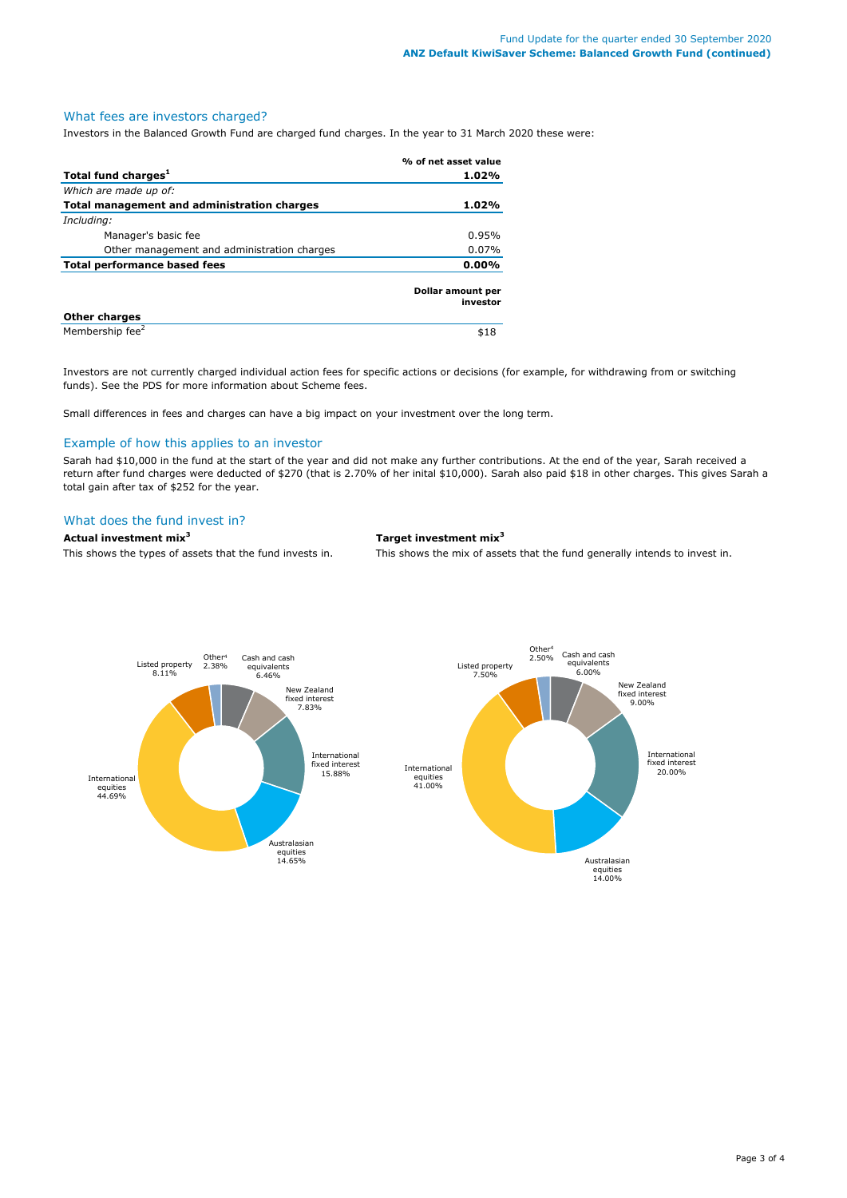#### What fees are investors charged?

Investors in the Balanced Growth Fund are charged fund charges. In the year to 31 March 2020 these were:

|                                             | % of net asset value          |
|---------------------------------------------|-------------------------------|
| Total fund charges <sup>1</sup>             | 1.02%                         |
| Which are made up of:                       |                               |
| Total management and administration charges | 1.02%                         |
| Including:                                  |                               |
| Manager's basic fee                         | 0.95%                         |
| Other management and administration charges | $0.07\%$                      |
| <b>Total performance based fees</b>         |                               |
|                                             | Dollar amount per<br>investor |
| <b>Other charges</b>                        |                               |
| Membership fee <sup>2</sup>                 | \$18                          |

Investors are not currently charged individual action fees for specific actions or decisions (for example, for withdrawing from or switching funds). See the PDS for more information about Scheme fees.

Small differences in fees and charges can have a big impact on your investment over the long term.

#### Example of how this applies to an investor

Sarah had \$10,000 in the fund at the start of the year and did not make any further contributions. At the end of the year, Sarah received a return after fund charges were deducted of \$270 (that is 2.70% of her inital \$10,000). Sarah also paid \$18 in other charges. This gives Sarah a total gain after tax of \$252 for the year.

# What does the fund invest in?

**Actual investment mix<sup>3</sup> Target investment mix<sup>3</sup>**

This shows the types of assets that the fund invests in. This shows the mix of assets that the fund generally intends to invest in.